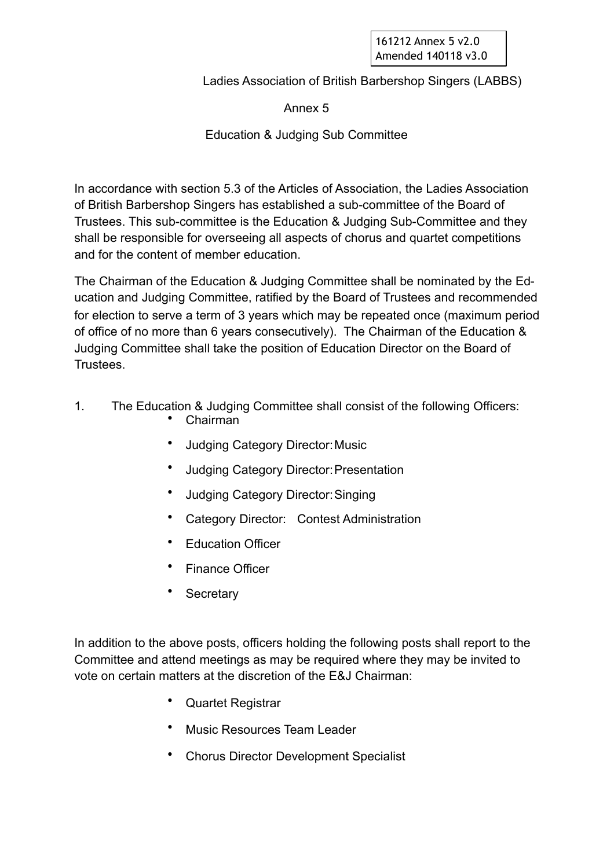161212 Annex 5 v2.0 Amended 140118 v3.0

Ladies Association of British Barbershop Singers (LABBS)

Annex 5

Education & Judging Sub Committee

In accordance with section 5.3 of the Articles of Association, the Ladies Association of British Barbershop Singers has established a sub-committee of the Board of Trustees. This sub-committee is the Education & Judging Sub-Committee and they shall be responsible for overseeing all aspects of chorus and quartet competitions and for the content of member education.

The Chairman of the Education & Judging Committee shall be nominated by the Education and Judging Committee, ratified by the Board of Trustees and recommended for election to serve a term of 3 years which may be repeated once (maximum period of office of no more than 6 years consecutively). The Chairman of the Education & Judging Committee shall take the position of Education Director on the Board of Trustees.

- 1. The Education & Judging Committee shall consist of the following Officers:
	- Chairman
	- Judging Category Director: Music
	- Judging Category Director: Presentation
	- Judging Category Director: Singing
	- Category Director: Contest Administration
	- **Education Officer**
	- **Finance Officer**
	- **Secretary**

In addition to the above posts, officers holding the following posts shall report to the Committee and attend meetings as may be required where they may be invited to vote on certain matters at the discretion of the E&J Chairman:

- Quartet Registrar
- Music Resources Team Leader
- Chorus Director Development Specialist